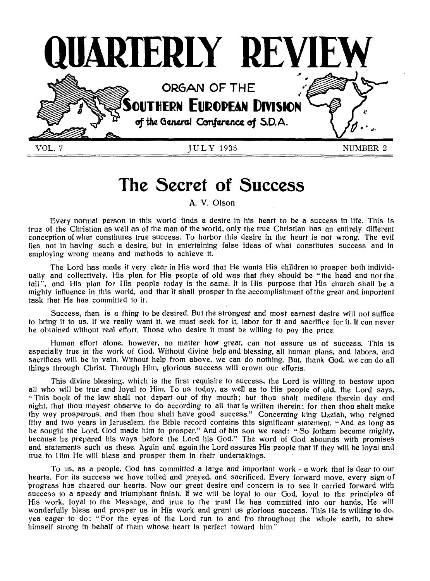

# **The Secret of Success**

A. V. Olson

Every normal person in this world finds a desire in his heart to be a success in life. This is true of the Christian as well as of the man of the world, only the true Christian has an entirely different conception of what constitutes true success. To harbor this desire in the heart is not wrong. The evil lies not in having such a desire, but in entertaining false ideas of what constitutes success and in employing wrong means and methods to achieve it.

The Lord has made it very clear in His word that He wants His children to prosper both individually and collectively. His plan for His people of old was that they should be " the head and not the tail", and His plan for His people today is the same. It is His purpose that His church shall be a mighty influence in this world, and that it shall prosper in the accomplishment of the great and important task that He has committed to it.

Success, then, is a thing to be desired. But the strongest and most earnest desire will not suffice to bring it to us. If we really want it, we must seek for it, labor for it and sacrifice for it. It can never be obtained without real effort. Those who desire it must be willing to pay the price.

Human effort alone, however, no matter how great, can not assure us of success. This is especially true in the work of God. Without divine help and blessing, all human plans, and labors, and sacrifices will be in vain. Without help from above, we can do nothing. But, thank God, we can do all things through Christ. Through Him, glorious success will crown our efforts.

This divine blessing, which is the first requisite to success, the Lord is willing to bestow upon all who will be true and loyal to Him. To us today, as well as to His people of old, the Lord says, " This book of the law shall not depart out of thy mouth ; but thou shalt meditate therein day and night, that thou mayest observe to do according to all that is written therein: for then thou shalt make thy way prosperous, and then thou shalt have good success." Concerning king Uzziah, who reigned fifty and two years in Jerusalem, the Bible record contains this significant statement, "And as long as he sought the Lord, God made him to prosper." And of his son we read: " So Jotham became mighty, because he prepared his ways before the Lord his God." The word of God abounds with promises and statements such as these. Again and again the Lord assures His people that if they will be loyal and true to Him He will bless and prosper them in their undertakings.

To us, as a people, God has committed a large and important work - a work that is dear to our hearts. For its success we have toiled and prayed, and sacrificed. Every forward move, every sign of progress has cheered our hearts. Now our great desire and concern is to see it carried forward with success to a speedy and triumphant finish. If we will be loyal to our God, loyal to the principles of His work, loyal to the Message, and true to the trust He has committed into our hands, He will wonderfully bless and prosper us in His work and grant us glorious success. This He is willing to do, yea eager to do: "For the eyes of the Lord run to and fro throughout the whole earth, to shew himself strong in behalf of them whose heart is perfect toward him."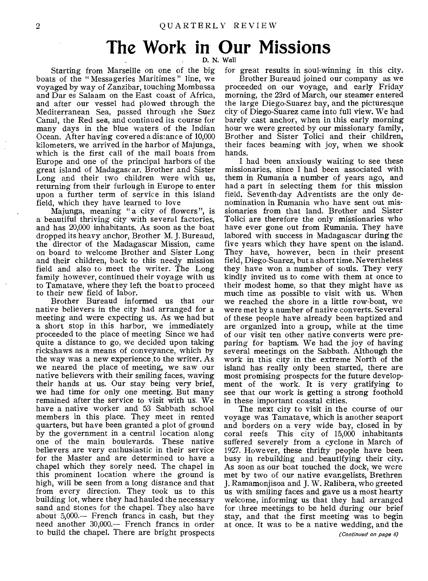# **The Work in Our Missions**

Starting from Marseille on one of the big boats of the " Messageries Maritimes " line, we voyaged by way of Zanzibar, touching Mombassa and Dar es Salaam on the East coast of Africa, and after our vessel had plowed through the Mediterranean Sea, passed through the Suez Canal, the Red sea, and continued its course for many days in the blue waters of the Indian Ocean. After having covered a distance of 10,000 kilometers, we arrived in the harbor of Majunga, which is the first call of the mail boats from Europe and one of the principal harbors of the great island of Madagascar. Brother and Sister Long and their two children were with us, returning from their furlough in Europe to enter upon a further term of service in this island field, which they have learned to love

Majunga, meaning "a city of flowers", is a beautiful thriving city with several factories, and has 20,000 inhabitants. As soon as the boat dropped its heavy anchor, Brother M. J. Bureaud, the director of the Madagascar Mission, came on board to welcome Brother and Sister Long and their children, back to this needy mission field and also to meet the writer. The Long family however, continued their voyage with us to Tamatave, where they left the boat to proceed to their new field of labor.

Brother Bureaud informed us that our native believers in the city had arranged for a meeting and were expecting us. As we had but a short stop in this harbor, we immediately proceeded to the place of meeting Since we had quite a distance to go, we decided upon taking rickshaws as a means of conveyance, which by the way was a new experience to the writer. As we neared the place of meeting, we saw our native believers with their smiling faces, waving their hands at us. Our stay being very brief, we had time for only one meeting. But many remained after the service to visit with us. We have a native worker and 53 Sabbath school members in this place. They meet in rented quarters, but have been granted a plot of ground by the government in a central location along one of the main boulevards. These native believers are very enthusiastic in their service for the Master and are determined to have a chapel which they sorely need. The chapel in this prominent location where the ground is high, will be seen from a long distance and that from every direction. They took us to this building lot, where they had hauled the necessary sand and stones for the chapel. They also have about 5,000.— French francs in cash, but they need another 30,000.— French francs in order to build the chapel. There are bright prospects

D. N. Wall

for great results in soul-winning in this city.

Brother Bureaud joined our company as we proceeded on our voyage, and early Friday morning, the 23rd of March, our steamer entered the large Diego-Suarez bay, and the picturesque city of Diego-Suarez came into full view. We had barely cast anchor, when in this early morning hour we were greeted by our missionary family, Brother and Sister Tolici and their children, their faces beaming with joy, when we shook hands.

I had been anxiously waiting to see these missionaries, since I had been associated with them in Rumania a number of years ago, and had a part in selecting them for this mission field. Seventh-day Adventists are the only denomination in Rumania who have sent out missionaries from that land. Brother and Sister Tolici are therefore the only missionaries who have ever gone out from Rumania. They have labored with success in Madagascar during the five years which they have spent on the island. They have, however, been in their present field, Diego-Suarez, but a short time. Nevertheless they have won a number of souls. They very kindly invited us to come with them at once to their modest home, so that they might have as much time as possible to visit with us. When we reached the shore in a little row-boat, we were met by a number of native converts. Several of these people have already been baptized and are organized into a group, while at the time of our visit ten other native converts were preparing for baptism. We had the joy of having several meetings on the Sabbath. Although the work in this city in the extreme North of the island has really only been started, there are most promising prospects for the future development of the work. It is very gratifying to see that our work is getting a strong foothold in these important coastal cities.

The next city to visit in the course of our voyage was Tamatave, which is another seaport and borders on a very wide bay, closed in by coral reefs This city of 15,000 inhabitants This city of 15,000 inhabitants suffered severely from a cyclone in March of 1927. However, these thrifty people have been busy in rebuilding and , beautifying their city. As soon as our boat touched the dock, we were met by two of our native evangelists, Brethren J. Ramamonjisoa and J. W. Ralibera, who greeted us with smiling faces and gave us a most hearty welcome, informing us that they had arranged for three meetings to be held during our brief stay, and that the first meeting was to begin at once. It was to be a native wedding, and the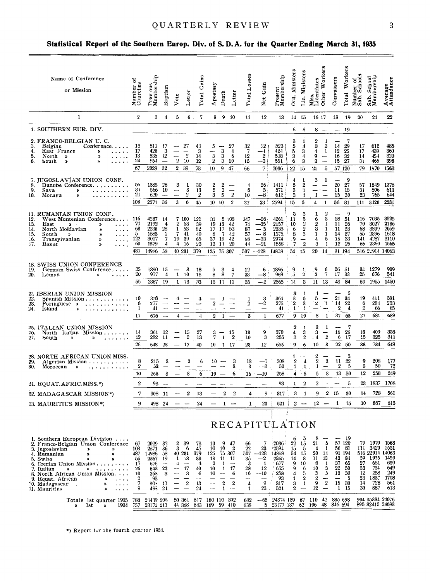#### QUARTERLY REVIEW

#### Statistical Report of the Southern Europ. Div. of S.D.A. for the Quarter Ending March 31, 1935

| Name of Conference<br>or Mission                                                                                                                                                                                                                                                                                        | ಕ<br>Number o<br>Churches                          | Prev ous<br>Membership                                                             | Baptism                                                                   | Vote                                        | Letter                                                     | Total Gains                                       | Apostasy                                              | Death                                                                                             | Letter                                                                       | Total Losses                                     | Net Gain                                                 | Present<br>Membership                                                   | Ord, Ministers                                               | <b>Ministers</b><br>ين<br>با                                                                             | Miss.<br>Licentiates                                                            | Other Workers                                                              | Canvassers                       | Total Workers                                                                    | Number of<br>Sab. Schools          | Sab. School<br>Membership                                                                         | Average<br>Attendance                                   |
|-------------------------------------------------------------------------------------------------------------------------------------------------------------------------------------------------------------------------------------------------------------------------------------------------------------------------|----------------------------------------------------|------------------------------------------------------------------------------------|---------------------------------------------------------------------------|---------------------------------------------|------------------------------------------------------------|---------------------------------------------------|-------------------------------------------------------|---------------------------------------------------------------------------------------------------|------------------------------------------------------------------------------|--------------------------------------------------|----------------------------------------------------------|-------------------------------------------------------------------------|--------------------------------------------------------------|----------------------------------------------------------------------------------------------------------|---------------------------------------------------------------------------------|----------------------------------------------------------------------------|----------------------------------|----------------------------------------------------------------------------------|------------------------------------|---------------------------------------------------------------------------------------------------|---------------------------------------------------------|
| $\mathbf{1}$                                                                                                                                                                                                                                                                                                            | $\overline{2}$                                     | 3                                                                                  | 4                                                                         | 5                                           | 6.                                                         | 7                                                 |                                                       | 8 <sup>9</sup>                                                                                    | $-10$                                                                        | 11                                               | 12                                                       | 13                                                                      |                                                              | 14 15                                                                                                    | 16 17                                                                           |                                                                            | 18                               | 19                                                                               | 20                                 | 21                                                                                                | $22\,$                                                  |
| 1. SOUTHERN EUR. DIV.                                                                                                                                                                                                                                                                                                   |                                                    |                                                                                    |                                                                           |                                             |                                                            |                                                   |                                                       |                                                                                                   |                                                                              |                                                  |                                                          |                                                                         |                                                              |                                                                                                          |                                                                                 | $8 -$                                                                      | $-19$                            |                                                                                  |                                    |                                                                                                   |                                                         |
| 2. FRANCO-BELGIAN U. C.                                                                                                                                                                                                                                                                                                 |                                                    |                                                                                    |                                                                           |                                             |                                                            |                                                   |                                                       |                                                                                                   |                                                                              |                                                  |                                                          |                                                                         | 6<br>3                                                       | 5                                                                                                        |                                                                                 | 1                                                                          |                                  | 7                                                                                |                                    |                                                                                                   |                                                         |
| 3.<br>Belgian<br>Conference. $\ldots$<br>4.<br>East France<br>$\bullet$<br>5.<br>North<br>$\bullet$<br>У<br>6.<br>South<br>$\blacktriangleright$<br>»                                                                                                                                                                   | 13<br>17<br>13<br>24                               | 511<br>428<br>536<br>554                                                           | 17<br>3<br>12<br>$\overline{\phantom{m}}$                                 | —                                           | 27<br>$\overline{\phantom{0}}$<br>$\overline{2}$<br>$2-10$ | 44<br>3<br>14<br>12                               | 5<br>$\bf{3}$<br>$\bf 2$                              | 3<br>3<br>3 <sub>10</sub>                                                                         | 27<br>-4<br>-6                                                               | $\frac{32}{7}$<br>12<br>15                       | 12;<br>$-4$<br>$\boldsymbol{2}$<br>$-3$                  | 523<br>424<br>538<br>551                                                | 5<br>5<br>$\frac{3}{6}$                                      | 1<br>4<br>3<br>$\boldsymbol{4}$<br>3                                                                     | 3<br>4<br>9<br>3                                                                | 3<br>$\mathbf{1}$<br>$\overline{\phantom{m}}$                              | 14<br>12<br>16 32                | $\frac{29}{25}$<br>15 27                                                         | 17<br>17<br>14<br>31               | 612<br>439<br>454<br>465                                                                          | 485<br>360<br>320<br>398                                |
|                                                                                                                                                                                                                                                                                                                         | 67                                                 | 2029                                                                               | 32                                                                        |                                             | 2 39                                                       | 73                                                | 10 <sup>°</sup>                                       | 9                                                                                                 | - 47                                                                         | 66                                               | 71                                                       | 2036                                                                    | $22^{\circ}$                                                 | 15                                                                                                       | 21                                                                              | 5                                                                          |                                  | 57 120                                                                           |                                    | 79 1970                                                                                           | 1563                                                    |
| 7. JUGOSLAVIAN UNION CONF.<br>8.<br>Danube Conference.<br>9.<br>Sava<br>,<br>10.<br>Moraya<br><b>S</b>                                                                                                                                                                                                                  | 56<br>31<br>21<br>108                              | 1385<br>566<br>620                                                                 | 26<br>10<br>$\overline{\phantom{m}}$                                      | 3<br>-<br>-                                 | 1<br>3<br>$\boldsymbol{2}$                                 | 30<br>13<br>$\boldsymbol{2}$                      | 2<br>5<br>3                                           | 2<br>3<br>5                                                                                       | $\overline{2}$                                                               | 4<br>8<br>10                                     | 26.<br>$5\}$<br>$-83$                                    | 1411<br>571<br>612                                                      | 4<br>5<br>3<br>3                                             | 1<br>2<br>1<br>1                                                                                         | 3<br>—<br>$\mathbf{1}$                                                          | 1<br>$\overline{\phantom{m}}$<br>$\overline{\phantom{m}}$<br>$\frac{1}{2}$ | 20<br>11                         | 9<br>27<br>15<br>$25 - 30$                                                       | 31<br>23                           | 57 1849<br>806<br>765                                                                             | 1276<br>-611<br>644                                     |
|                                                                                                                                                                                                                                                                                                                         |                                                    | 2571                                                                               | 36                                                                        | 3                                           | 6                                                          | 45                                                | 10 <sub>1</sub>                                       | 10                                                                                                | $\boldsymbol{2}$                                                             | 22                                               | 23.                                                      | 2594                                                                    | 15                                                           | 5                                                                                                        | 4                                                                               | $\mathbf{1}$                                                               | 56                               | 81                                                                               | 111                                | 3420                                                                                              | 2531                                                    |
| 11. RUMANIAN UNION CONF.<br>12.<br>West Muntenian Conference<br>13.<br>East<br>$\rightarrow$<br>.<br>»<br>North Moldavian<br>14.<br>$\boldsymbol{\Sigma}$<br>$\cdots$<br>15.<br>South<br>$\rightarrow$<br>X,<br>Transylvanian<br>16.<br>ø<br>17.<br>Banat<br>Y,                                                         | 116<br>70<br>68<br>5<br>122<br>60                  | 4287<br>2192<br>2338<br>1583<br>3007<br>1579                                       | - 14<br>4<br>28<br>1<br>$\overline{7}$<br>4                               | 2<br>7<br>19 39                             | 7 100<br>- 33<br>1 53<br>-41<br>4 15                       | 121<br>39<br>82<br>49<br>65<br>23                 | 31<br>19<br>17 17<br>8<br>37 19<br>13                 | 8<br>13<br>$\mathbf{7}$<br>11                                                                     | 108<br>42<br>-53<br>42<br>$\overline{12}$<br>20                              | $\frac{147}{74}$<br>87<br>57<br>98<br>44         | $-26$<br>$-35$<br>$-5$<br>$-8$<br>$-33$<br>$-21$         | 4261<br>2157<br>2333<br>1575.<br>2974<br>1558                           | 3<br>11<br>10<br>6<br>8<br>$\frac{9}{7}$                     | 3<br>3<br>$\overline{2}$<br>$\boldsymbol{2}$<br>$^{\rm 3}$<br>$\overline{\phantom{0}}$<br>$\overline{2}$ | ı<br>6<br>$\boldsymbol{2}$<br>3<br>$\mathbf{1}$<br>$\overline{\mathbf{4}}$<br>3 | $\boldsymbol{2}$<br>3<br>1<br>1<br>1<br>5<br>$\mathbf{1}$                  | 28<br>11<br>11<br>14<br>15<br>12 | 9<br>51<br>26<br>23<br>27<br>33<br>25                                            | 116<br>70<br>68<br>55<br>141<br>66 | 7035<br>3027<br>3809<br>4287<br>2360                                                              | 3525<br>2186<br>2059<br>2396 1618<br>3110<br>1565       |
|                                                                                                                                                                                                                                                                                                                         | 487                                                | 14986 58                                                                           |                                                                           | 40 281                                      |                                                            | 379                                               | 125                                                   | 75 307                                                                                            |                                                                              |                                                  | $507 - 128$                                              | 14858                                                                   | $354$ 15                                                     |                                                                                                          | 20 14                                                                           |                                                                            |                                  | 91 194                                                                           |                                    | 516 2:914 14063                                                                                   |                                                         |
| 18. SWISS UNION CONFERENCE<br>19.<br>German Swiss Conference<br>20.<br>Leman<br>n                                                                                                                                                                                                                                       | 35<br>20                                           | 1390<br>977                                                                        | -15<br>4                                                                  | $\overline{\phantom{a}}$<br>$\mathbf{1}$    | - 3<br>10                                                  | 18<br>15                                          | 5<br>8                                                | 3<br>8                                                                                            | 4<br>7                                                                       | 12<br>23                                         | 6<br>÷.<br>$-8$                                          | 1396<br>969                                                             | 9<br>5                                                       | 1<br>$\boldsymbol{2}$                                                                                    | $\frac{9}{2}$                                                                   | 6<br>7                                                                     | 26<br>17                         | - 51<br>33                                                                       | 34<br>25                           | 1279<br>676                                                                                       | 909<br>541                                              |
|                                                                                                                                                                                                                                                                                                                         | 55                                                 | 2367                                                                               | 19                                                                        |                                             | 1 13                                                       | 33                                                | 1311                                                  |                                                                                                   | $\overline{11}$                                                              | 35                                               | $\overline{-2}$                                          | 2365                                                                    | 14                                                           | $\mathbf{3}$                                                                                             | $\mathbf{11}$                                                                   | - 13                                                                       | 43                               | 84                                                                               | 59                                 | 1955                                                                                              | 1450                                                    |
| 21. IBERIAN UNION MISSION<br>22.<br>Spanish Mission<br>23.<br>Portuguese<br>$\bullet$<br>24.<br>Island                                                                                                                                                                                                                  | 10<br>6<br>1                                       | $3.8 -$<br>277<br>41                                                               |                                                                           | 4                                           | --                                                         | 4                                                 |                                                       | ı                                                                                                 |                                                                              | 1<br>$\,2\,$<br>-                                | з<br>-2                                                  | 361<br>275<br>41                                                        | 3<br>$\frac{3}{2}$<br>$\mathbf{1}$                           | 1<br>5<br>3<br>1                                                                                         | -1<br>5<br>$\overline{\mathbf{2}}$                                              | $\overline{\phantom{0}}$<br>$\overline{\mathbf{r}}$                        | 21<br>14<br>2                    | 5<br>34<br>22<br>4                                                               | 19<br>6<br>$\overline{2}$          | 411<br>204<br>66                                                                                  | 391<br>233<br>-65                                       |
|                                                                                                                                                                                                                                                                                                                         | 17                                                 | 676                                                                                | $\sim$                                                                    | $\overline{4}$                              | $\overline{\phantom{a}}$                                   | 4                                                 | $\mathbf{2}$                                          | $\mathbf{1}$                                                                                      | $\overline{\phantom{a}}$                                                     | 3                                                | $\mathbf{1}$                                             | 677                                                                     | 9                                                            | 10                                                                                                       | 8                                                                               | $\mathbf{1}$                                                               | 37                               | 65                                                                               | 27                                 | 681                                                                                               | 689                                                     |
| 25. ITALIAN UNION MISSION<br>26.<br>North Italian Mission<br>27,<br>South<br>ď<br>D<br>.                                                                                                                                                                                                                                | 14<br>12<br>26                                     | 361 12<br>282<br>643                                                               | - 11<br>23                                                                | $\hspace{0.05cm}$<br>$-17$                  | 15<br>$\boldsymbol{2}$                                     | 27<br>13<br>40                                    | 3<br>7<br>10                                          | $\overline{\phantom{a}}$<br>$\mathbf{1}$                                                          | -15<br>$\boldsymbol{2}$<br>1 17                                              | 18<br>10<br>28                                   | 9<br>3<br>12                                             | 370<br>285<br>655                                                       | 2<br>4<br>3<br>9                                             | 1<br>3<br>$\overline{2}$<br>6                                                                            | 3<br>3<br>$\cdot$ 4<br>10                                                       | 1<br>-<br>$\boldsymbol{2}$<br>3                                            | 16<br>6<br>22                    | 7<br>26<br>17<br>50                                                              | 18<br>15<br>33                     | 409<br>325<br>734                                                                                 | 338<br>311<br>649                                       |
| 28. NORTH AFRICAN UNION MISS.                                                                                                                                                                                                                                                                                           |                                                    |                                                                                    |                                                                           |                                             |                                                            |                                                   |                                                       |                                                                                                   |                                                                              |                                                  |                                                          |                                                                         | 1                                                            |                                                                                                          |                                                                                 |                                                                            |                                  | 3                                                                                |                                    |                                                                                                   |                                                         |
| 29.<br>Algerian Mission<br>30.<br>Moroccan<br>D                                                                                                                                                                                                                                                                         | 8<br>$\boldsymbol{2}$<br>10                        | 215<br>53<br>268                                                                   | 3<br>3                                                                    |                                             | 3<br>3                                                     | 6<br>6                                            | $10 -$                                                | $10 -$                                                                                            | 3<br>3<br>6                                                                  | 13<br>3<br>16                                    | $-7$<br>$-3$<br>$\cdot -10$                              | 208<br>50<br>258                                                        | 2<br>1<br>4                                                  | 4<br>1<br>- 5                                                                                            | $\frac{2}{2}$<br>$\mathbf{1}$<br>5                                              | $\bf{3}$<br>3                                                              | 11<br>$\boldsymbol{2}$<br>13     | 22<br>5<br>30                                                                    | 9<br>3<br>12                       | 208<br>50<br>258                                                                                  | 177<br>72<br>249                                        |
| 31. EQUAT.AFRIC.MISS.*)                                                                                                                                                                                                                                                                                                 | 2                                                  | 93                                                                                 |                                                                           |                                             |                                                            |                                                   |                                                       |                                                                                                   |                                                                              |                                                  |                                                          | 93                                                                      | L                                                            | $\boldsymbol{2}$                                                                                         |                                                                                 |                                                                            | $2 - -$                          | 5                                                                                | 23                                 | 1837                                                                                              | 1708                                                    |
| 32. MADAGASCAR MISSION*)                                                                                                                                                                                                                                                                                                | 7                                                  | 308 11                                                                             |                                                                           |                                             | 2                                                          | 13                                                |                                                       | $\overline{2}$                                                                                    | $\overline{2}$                                                               | 4                                                | 9                                                        | $\sim$<br>317                                                           |                                                              | $3 \quad 1$                                                                                              |                                                                                 |                                                                            | 9 2 15                           | 30                                                                               | 14                                 | 728                                                                                               | 561                                                     |
| 33. MAURITIUS MISSION*)                                                                                                                                                                                                                                                                                                 | 9                                                  | 498                                                                                | -24                                                                       |                                             |                                                            | 24                                                |                                                       | 1                                                                                                 | $\overline{\phantom{0}}$                                                     | ı                                                | 23                                                       | 521                                                                     | $\mathbf{2}$                                                 |                                                                                                          |                                                                                 | $12 -$                                                                     | 1                                | 15                                                                               | 30                                 | 887                                                                                               | 613                                                     |
|                                                                                                                                                                                                                                                                                                                         |                                                    |                                                                                    |                                                                           |                                             |                                                            |                                                   |                                                       |                                                                                                   |                                                                              |                                                  |                                                          | RECAPITULATION                                                          |                                                              |                                                                                                          |                                                                                 |                                                                            |                                  |                                                                                  |                                    |                                                                                                   |                                                         |
| 1. Southern European Division $\ldots$ .<br>2. Franco-Belgian Union Conference<br>3. Jugoslavian<br>»<br>х<br>4. Rumanian<br>»<br>,<br>5. Swiss<br>ъ<br>6. Iberian Union Mission.<br>7. Italian<br>×<br>х<br>8. North African Union Mission<br>9. Equat. African<br>×<br>.<br>10. Madagascar<br>D<br>11. Mauritius<br>X | 67<br>108<br>487<br>55<br>17<br>26<br>10<br>7<br>9 | 2029<br>2571<br>14986<br>2367<br>676<br>643<br>268<br>93<br>30 <sup>3</sup><br>493 | 32<br>36<br>58<br>19<br>$\overline{\phantom{a}}$<br>23<br>-3<br>11<br>-24 | $\mathbf{2}$<br>3<br>40 281<br>4<br>--<br>- | 39<br>6<br>1 13<br>17<br>3<br>$\overline{2}$               | 73<br>45<br>379<br>33<br>4<br>40<br>6<br>13<br>24 | 10<br>10<br>125<br>13<br>$\boldsymbol{2}$<br>10<br>10 | 9<br>10<br>75 307<br>11<br>1<br>$\mathbf{1}$<br>$\overline{\phantom{m}}$<br>$\boldsymbol{2}$<br>1 | -47<br>$\overline{\mathbf{2}}$<br>- 11<br>مسد<br>17<br>6<br>$\boldsymbol{2}$ | 66<br>22<br>507<br>35<br>3<br>28<br>16<br>4<br>1 | 7<br>23<br>$-128$<br>$-2$<br>1<br>12<br>$-10$<br>9<br>23 | 2036<br>:2594<br>14858<br>2365<br>677<br>655<br>258<br>93<br>317<br>521 | 6<br>$^{22}$<br>15<br>54<br>14<br>9<br>9<br>4<br>1<br>3<br>2 | 5<br>15<br>5<br>15<br>- 3<br>10<br>6<br>5<br>$\overline{2}$<br>$\mathbf{1}$                              | 8<br>21<br>Δ<br>20<br>11<br>-8<br>10<br>5<br>2<br>9<br>12                       | 5<br>-1<br>-14<br>13<br>-1<br>3<br>3<br>--<br>$\it 2$                      | 37<br>$^{22}$<br>13              | 19<br>57 120<br>56 81<br>91 194<br>43 84<br>65<br>50<br>30<br>5<br>15 30<br>1 15 | 27<br>33<br>12<br>23<br>14<br>30   | 79 1970 1563<br>111 3420<br>516 22914 14063<br>59 1955<br>681<br>734<br>258<br>1837<br>728<br>887 | 2531<br>1450<br>689<br>649<br>249<br>1708<br>561<br>613 |
| Totals 1st quarter 1935<br>1934<br>1st<br>$\blacksquare$<br>X,                                                                                                                                                                                                                                                          | 788<br>757                                         | 24439 206<br>23172 211                                                             |                                                                           |                                             | 50 361                                                     |                                                   | 617 180 110 392<br>44 388 643 169 59 410              |                                                                                                   |                                                                              | 682<br>638                                       | $-65$                                                    | 24374 139 67<br>5 23177 137 62 106                                      |                                                              |                                                                                                          | 110                                                                             | 42                                                                         | 335 693<br>43 346 694            |                                                                                  |                                    | 904 35384 24076<br>895 32415 28693                                                                |                                                         |
|                                                                                                                                                                                                                                                                                                                         |                                                    |                                                                                    |                                                                           |                                             |                                                            |                                                   |                                                       |                                                                                                   |                                                                              |                                                  |                                                          |                                                                         |                                                              |                                                                                                          |                                                                                 |                                                                            |                                  |                                                                                  |                                    |                                                                                                   |                                                         |

\*) Report for the fourth quarter 1984.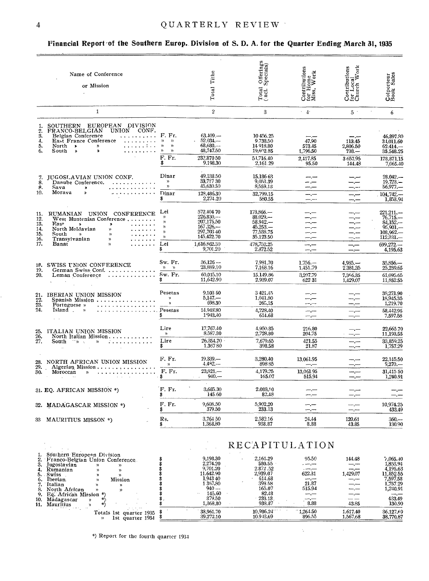$1.2.3.4.5.6.7.8.9.10.11.$ 

#### QUARTERLY REVIEW

### Financial Report of the Southern Europ. Division of S. D. A. for the Quarter Ending March 31, 1935

| Name of Conference<br>or Mission                                                                                                                                                                                                                                                                                                                                                                                                                                                                                              |                                                                                                  | Tithe<br>Total                                                                                             | $\begin{array}{c} \text{Offerings} \\ \text{Specials)} \end{array}$<br>Total $\binom{Total}{1}$         | $\begin{array}{c}\n \text{Contributions} \\ \text{for Home} \\ \text{Miss. Work}\n \end{array}$<br>ne<br>ork | Contributions<br>for Local<br>Church Work          | Colporteur<br>Book Sales                                                                                |
|-------------------------------------------------------------------------------------------------------------------------------------------------------------------------------------------------------------------------------------------------------------------------------------------------------------------------------------------------------------------------------------------------------------------------------------------------------------------------------------------------------------------------------|--------------------------------------------------------------------------------------------------|------------------------------------------------------------------------------------------------------------|---------------------------------------------------------------------------------------------------------|--------------------------------------------------------------------------------------------------------------|----------------------------------------------------|---------------------------------------------------------------------------------------------------------|
| $\mathbf{1}$                                                                                                                                                                                                                                                                                                                                                                                                                                                                                                                  |                                                                                                  | $\overline{2}$                                                                                             | $\mathbf{R}$                                                                                            | $\cdot$ 4                                                                                                    | $5$ .                                              | $\sim$<br>6                                                                                             |
| SOUTHERN EUROPEAN DIVISION<br>1.<br>FRANCO-BELGIAN UNION CONF.<br>2.<br>$\overline{3}$ .<br>Belgian Conference<br>$\ldots \ldots \ldots$ F. Fr.<br>------------<br>------------<br>4.<br>East France Conference<br>5.<br>North ><br>$\mathfrak{p}$<br>6.<br>South<br>$\mathbf{v}$<br>.<br>$\alpha$                                                                                                                                                                                                                            | $y = y$<br>$\mathfrak{D}$<br>$\mathcal{D}$<br>$\mathcal{D}$<br>$\rightarrow$<br>F. Fr.<br>\$     | 63,409<br>$52,034-$<br>$68,680-$<br>48,747.50<br>232,87050<br>9,198,30                                     | 10 456.25<br>9.738.50<br>14 918.80<br>19,602.85<br>51,716.40<br>2,161.29                                | 47.90<br>573.45<br>1,796.50<br>2,417.85<br>95.50                                                             | 113.45<br>2.806.50<br>$738 -$<br>3657.95<br>144.48 | 46.897.30<br>34,011.60<br>$62.414-$<br>35,548.25<br>178,871,15<br>7,065.40                              |
| JUGOSLAVIAN UNION CONF.<br>7.<br>8.<br>Danube Conference.<br>8.<br>Sava<br>.<br>$\mathbf{v}$<br>10.<br>.<br>Morava<br>$\mathbf{v}$                                                                                                                                                                                                                                                                                                                                                                                            | Dinar<br>$\mathcal{D}$<br>$\mathcal{Y}$<br>Dinar<br>\$                                           | 49,138.50<br>33,717 30<br>45,630.50<br>128,486.30<br>2,274.20                                              | 15,186 63<br>9,053.39<br>8,559.13<br>32,799.15<br>580.55                                                | — —<br>-.-<br>--.--<br>—. —<br>—.—∙                                                                          | —,—<br>——<br>-.--<br>-.-                           | $28,042, -$<br>$19,723. -$<br>56,977.-<br>104,742<br>1,853,94                                           |
| RUMANIAN UNION CONFERENCE<br>11.<br>12.<br>West Muntenian Conference<br>13.<br>East<br>$\mathbf{x}$<br>$\boldsymbol{\lambda}$<br>14.<br>North Moldavian<br>$\mathcal{V}$<br>$\mathbf{r}$ .<br><br>.<br><br><br><br><br><br><br><br><br><br><br>15.<br>South<br>$\mathcal{D}$ and $\mathcal{D}$<br>$\mathcal{P}$<br>$\mathcal{L}$ , and $\mathcal{L}$ , and $\mathcal{L}$<br>16.<br>Transylvanian<br>$\mathcal{V}$<br>$\mathbf{v}$ , $\mathbf{v}$ , $\mathbf{v}$ , $\mathbf{v}$ , $\mathbf{v}$<br>17.<br>Banat<br>$\mathbf{v}$ | Lei<br>$\mathbf{v}$<br>$\mathcal{Y}$<br>${\mathcal V}$<br>$\mathcal{V}$<br>$\gamma$<br>Lei<br>\$ | 572,404 70<br>$226,830-$<br>207,175.50<br>167,326.<br>297,703 40<br>145,422.70<br>1,616,862.30<br>9,701.20 | $173,866-$<br>$88,029-$<br>$58.942 -$<br>$45.253 -$<br>77,538.75<br>35,123.50<br>478,752.25<br>2,372.52 | — <u>—</u><br>—.—<br>–.—<br>—. <del></del><br>--.---<br>---                                                  | --.---<br>سنوسد                                    | $221,211, -$<br>$76,715-$<br>$84,152-$<br>$95,901-$<br>$108,962-$<br>112,331.<br>$699.272-$<br>4,195.63 |
| 18. SWISS UNION CONFERENCE<br>19.<br>German Swiss Conf.<br>20.<br>Leman Conference                                                                                                                                                                                                                                                                                                                                                                                                                                            | Sw. Fr.<br>$\mathcal{D}$ $\mathcal{D}$<br>Sw. Fr.<br>\$                                          | $36,126-$<br>23,889.10<br>60,015.10<br>11,642.90                                                           | 7.981.70<br>7,168.16<br>15,149.86<br>2.939.07                                                           | $1,756-$<br>1.451.79<br>3.207.79<br>622 31                                                                   | $4.985 -$<br>2.381.35<br>7.366.35<br>1,429.07      | $35,856-$<br>25,239.65<br>61,095.65<br>11,852.55                                                        |
| $\begin{array}{c} 21. \\ 22. \\ 23. \end{array}$<br>IBERIAN UNION MISSION<br>Spanish Mission<br>Portuguese »<br>. <i>. .</i> .<br>24.<br>Island »                                                                                                                                                                                                                                                                                                                                                                             | Pesetas<br>$\mathbf{v}$<br>$\mathbf{a}$<br>Pesetas                                               | 9,103 50<br>$5,147-$<br>698.30<br>14.948.80<br>1'943.40                                                    | 3421.45<br>1.041.80<br>265,15<br>4,728.40<br>614.68                                                     | سب س<br>سيسب<br>$ -$<br>سب ب                                                                                 |                                                    | 38,271.90<br>18,945,35<br>1,219.70<br>58,442.95<br>7,597.58                                             |
| 25.<br>ITALIAN UNION MISSION<br>26.<br>North Italian Mission<br>$\overline{27}$ .<br>.<br>South $\Box$ $\Box$<br>$\mathcal{D}$                                                                                                                                                                                                                                                                                                                                                                                                | Lire<br>$\gamma_{\rm i}$<br>Lire<br>\$                                                           | 17,767.40<br>8,587.30<br>26,354.70<br>1.36780                                                              | 4.950.85<br>2,728.80<br>7,679.65<br>398.58                                                              | 216.80<br>204.75<br>421.55<br>21.87                                                                          | —,—<br>$\frac{1}{2}$<br>للتربيب                    | 22,665.70<br>11,193.55<br>33,859.25<br>1,757.29                                                         |
| NORTH AFRICAN UNION MISSION<br>28.<br>29.<br>Algerian Mission<br>30.<br>$\mathcal{D}$<br>Moroccan                                                                                                                                                                                                                                                                                                                                                                                                                             | F. Fr.<br>$\mathcal{D}$<br>F. Fr.<br>\$.                                                         | 19,339.<br>$4.492 -$<br>$23,821-$<br>$940 -$                                                               | 3,280.40<br>89885<br>4,179.25<br>165.07                                                                 | 13,061.95<br>$-\!\!-\!\!-$<br>13,061.95<br>515.94                                                            | ---<br>— —                                         | 22,145.50<br>$9,270-$<br>31.415 50<br>1.240.91                                                          |
| 31. EQ. AFRICAN MISSION *)                                                                                                                                                                                                                                                                                                                                                                                                                                                                                                    | F. Fr.<br>Ş.                                                                                     | 3,685.30<br>145.60                                                                                         | 2.088.10<br>82,48                                                                                       | سيب                                                                                                          | —,—<br>$-$ . $-$                                   |                                                                                                         |
| 32. MADAGASCAR MISSION *)                                                                                                                                                                                                                                                                                                                                                                                                                                                                                                     | F. Fr.<br>\$                                                                                     | 9,608.50<br>379.50                                                                                         | 5.902.20<br>233.13                                                                                      | ---<br>⊸.—                                                                                                   | and come                                           | 10.974.25<br>433,49                                                                                     |
| 33 MAURITIUS MISSON *)                                                                                                                                                                                                                                                                                                                                                                                                                                                                                                        | Rs.<br>\$.                                                                                       | 3,764 50<br>1,368.80                                                                                       | 2.582.16<br>938.87                                                                                      | 24.44<br>8.88                                                                                                | 120.61<br>43.85                                    | $360 -$<br>130.90                                                                                       |

|                                                                                                                                                                                                                                                                                                               |                                                                                                                  | K E U A FIIULAIIUN                                                                                    |                                                                                   |                                                         |                                                                                                       |
|---------------------------------------------------------------------------------------------------------------------------------------------------------------------------------------------------------------------------------------------------------------------------------------------------------------|------------------------------------------------------------------------------------------------------------------|-------------------------------------------------------------------------------------------------------|-----------------------------------------------------------------------------------|---------------------------------------------------------|-------------------------------------------------------------------------------------------------------|
| Southern European Division<br>Franco-Belgian Union Conference.<br>Jugoslavian<br>$\mathcal{V}$<br>١١<br>Rumanian<br>Swiss<br>۱۱<br>Mission<br>Iberian.<br>$\mathcal{V}$<br>Italian<br>North African<br>Eq. African Mission *)<br>Madagascar<br>$\mathcal{D}$<br>Mauritius<br><b>Brazilia</b><br><b>CAMP 1</b> | 9,198.30<br>2,274.20<br>9,701.20<br>11.642.90<br>1,943 40<br>1 367.80<br>$940 -$<br>145.60<br>379.50<br>1.368.80 | 2.161.29<br>580.55<br>2.872.52<br>2.939.07<br>614.68<br>398 58<br>165.07<br>82.48<br>233.13<br>938.87 | 95.50<br>$\overline{a}$<br>622.31<br>---<br>21.87<br>515.94<br>—.—<br>---<br>8.88 | 144.48<br>—,—<br>1.429.07<br>—.—<br>—.—<br>—.—<br>43.85 | 7,065,40<br>1,853,94<br>4.195.63<br>11,852.55<br>7,597.58<br>1.757.29<br>1,240.91<br>433.49<br>130.90 |
| Totais 1st quarter 1935<br>1st quarter 1934                                                                                                                                                                                                                                                                   | 33,961.70<br>39,272.10                                                                                           | 10.986.24<br>10.943.69                                                                                | $-1.264.50$<br>896.55                                                             | 1.617.40<br>1,567.68                                    | 36.127.69<br>38,770.87                                                                                |

Ñ,

 $\mathcal{A}^{\mathcal{A}}$  and  $\mathcal{A}^{\mathcal{A}}$ 

\*) Report for the fourth quarter 1934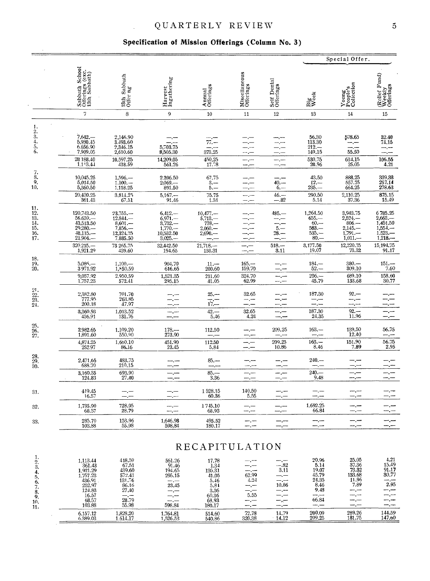### QUARTERLY REVIEW

#### Specification of Mission Offerings (Column No. 3)

 $\hat{\mathcal{E}}$ 

|                                                                |                                                                                                      |                                                                                           |                                                                                 |                                                                                             |                                      |                                              |                                                                                       | Special Offer.                                                                  |                                                                                                |
|----------------------------------------------------------------|------------------------------------------------------------------------------------------------------|-------------------------------------------------------------------------------------------|---------------------------------------------------------------------------------|---------------------------------------------------------------------------------------------|--------------------------------------|----------------------------------------------|---------------------------------------------------------------------------------------|---------------------------------------------------------------------------------|------------------------------------------------------------------------------------------------|
|                                                                | Sabbath School<br>Offerings (exc.<br>13th Sabbath)                                                   | 13th Sabbath<br>Offer ng                                                                  | Harvest<br>Ingathering                                                          | Annual<br>Offerings                                                                         | Miseellaneous<br>Offerings           | Self Denial<br>Offerings                     | Big<br>Week                                                                           | Young<br>People's<br>Collection                                                 | Relief Fund)<br>Weekly<br>Offerings                                                            |
|                                                                | $\overline{\phantom{a}}$                                                                             | 8                                                                                         | 9                                                                               | 10                                                                                          | 11                                   | 12                                           | 13                                                                                    | 14                                                                              | 15                                                                                             |
| 1.<br>$\frac{2}{3}$<br>4.<br>5.<br>6.                          | $7.642-$<br>5,980.45<br>6.656.90<br>7,909.05<br>28 188.40<br>1.113.4                                 | 2,146.90<br>3.493.60<br>2,346.15<br>2,610.60<br>10,597.25<br>418.59                       | 5,703.75<br>8,505.30<br>14,209.05<br>561.26                                     | $\overline{\pi}$ $\overline{\pi}$<br>373.25<br>450.25<br>17.78                              | -- --                                | — ,—                                         | 56,30<br>113.30<br>$212 -$<br>149.15<br>530.75<br>20.96                               | 578.65<br>—,—<br>$\frac{1}{55.50}$<br>634.15<br>25.05                           | $32.40$<br>$74.15$<br>--.--<br>106.55<br>4.21                                                  |
| $\overline{\mathbf{3}}$ :<br>9,<br>10.                         | 10,045.25<br>5,014.50<br>5,360.50                                                                    | $1,596-$<br>$1.100 -$<br>1,118.25                                                         | 2,206.50<br>$2,069. -$<br>891.50                                                | 67.75<br>$3 -$<br>$5 -$                                                                     |                                      | $40 -$<br>$6 -$                              | 43.50<br>$12 -$<br>$235 -$                                                            | 888.25<br>557.75<br>664.25                                                      | 339.38<br>257.14<br>278.63                                                                     |
|                                                                | 20,420.25<br>361.43                                                                                  | 3,814.25<br>67.51                                                                         | $5,167-$<br>91.46                                                               | 75.75<br>1.34                                                                               | ---<br>—,—                           | $46 -$<br>$-.82$                             | 290.50<br>5.14                                                                        | 2,110.25<br>37.36                                                               | 875.15<br>15.49                                                                                |
| 11.<br>12.<br>13.<br>14.<br>15.<br>16.<br>17.                  | $120,743.50$<br>56.659.<br>$43,513.50$<br>$29.280$<br>-- 48,115<br>$21,904. -$                       | 23,755<br>$12,844, -$<br>$8,601 -$<br>$7,856, -$<br>12,324.25<br>7,885.50                 | $6,412-$<br>$6,971-$<br>$\frac{3,732-}{1,770-}$<br>10,532.50<br>$3,025 -$       | $10,477, -$<br>$5,713-$<br>$778 -$<br>$2,060-$<br>$2.690 -$                                 | —.—<br>—.—<br>—. —<br>—.—            | 485.—<br>$\frac{1}{5}$ .<br>28.—             | 1,264.50<br>$655. -$<br>$60 -$<br>$583. -$<br>$535. -$<br>$80 -$                      | 3,943.75<br>$2,524-$<br>$806 -$<br>$2,145-$<br>1,791 .-<br>$1,011,-$            | $\begin{array}{l} 6\,785.25 \\ 2,663. - \\ 1,451.50 \end{array}$<br>$1,554-1,523-$<br>$1,218-$ |
|                                                                | 320.215<br>1,921.29                                                                                  | 73 265.75<br>439.60                                                                       | 32,442.50<br>194.65                                                             | $21,718. -$<br>130.31                                                                       | –.—<br>—,—                           | $518 -$<br>3.11                              | 3,177.50<br>19.07                                                                     | 12,220.75<br>73.32                                                              | 15,194.75<br>91.17                                                                             |
| 18.<br>19.<br>20.                                              | $5,086-$<br>3971.92<br>9,057.92<br>1,757,23                                                          | $1,100-$<br>1,850.59<br>2,950.59<br>572.41                                                | 904.70<br>616.65<br>1,521.35<br>295.15                                          | $11 -$<br>200.60<br>211.60<br>41.05                                                         | $165 -$<br>159.70<br>324.70<br>62.99 |                                              | $184 -$<br>$52 -$<br>$236 -$<br>45.79                                                 | $380 -$<br>309.10<br>689.10<br>133.68                                           | $151 -$<br>7.60<br>158.60<br>30.77                                                             |
| 21.<br>$\frac{22}{23}$ .<br>23.                                | 2,382.80<br>777.95<br>200.18<br>3,360.93                                                             | $\frac{701.70}{263.85}$<br>47.97<br>1,013.52                                              | -.---<br>—.—                                                                    | $25 -$<br>$\overline{17}$<br>$42. -$                                                        | 32.65<br>—.,<br>—,—<br>32.65         | —. —                                         | 187.30<br>—,—<br>187.30                                                               | $92 -$<br>---<br>$92 -$                                                         | $-,-$                                                                                          |
|                                                                | 436.91                                                                                               | 131.76                                                                                    | ---                                                                             | 5.46                                                                                        | 4.24                                 |                                              | 24.35                                                                                 | 11.96                                                                           | --.--                                                                                          |
| $\frac{25}{26}$ . $\frac{27}{27}$                              | 2,982.65<br>1,891.60                                                                                 | 1,109.20<br>550.90                                                                        | $178 -$<br>273.90                                                               | 112.50                                                                                      |                                      | 209.25<br>—.                                 | $163. -$<br>---                                                                       | 139.50<br>12.40                                                                 | 56.75<br>—,—                                                                                   |
|                                                                | 4,874.25<br>252.97                                                                                   | 1,660.10<br>86.16                                                                         | 451.90<br>23.45                                                                 | 112.50<br>5.84                                                                              |                                      | 209.25<br>10.86                              | $163. -$<br>8.46                                                                      | 151.90<br>7.89                                                                  | 56.75<br>2.95                                                                                  |
| $\frac{28}{29}$ .<br>30.                                       | 2,471.65<br>688.70                                                                                   | 483.75<br>210.15                                                                          |                                                                                 | $85 -$                                                                                      |                                      |                                              | $240. -$<br>—.—                                                                       | –.–<br>—.—                                                                      |                                                                                                |
|                                                                | 3,160.35<br>124.83                                                                                   | 693.90<br>27.40                                                                           |                                                                                 | $85 -$<br>3.36                                                                              | ----                                 |                                              | $240 -$<br>9.48                                                                       | —.—<br>—,—                                                                      |                                                                                                |
| 31.                                                            | 419.45<br>16.57                                                                                      |                                                                                           |                                                                                 | 1528.15<br>60.36                                                                            | 140.50<br>5.55                       |                                              |                                                                                       | —.—                                                                             |                                                                                                |
| 32.                                                            | 1,735.90<br>68.57                                                                                    | 728.95<br>28.79                                                                           |                                                                                 | 1745.10<br>68.93                                                                            |                                      |                                              | 1,692.25<br>66.84                                                                     |                                                                                 |                                                                                                |
| 33.                                                            | $285.70\,$<br>103.88                                                                                 | 153.96<br>55.98                                                                           | 1,646.98<br>598.84                                                              | 495.52<br>180.17                                                                            |                                      |                                              |                                                                                       | —,—<br>ست ست                                                                    |                                                                                                |
|                                                                |                                                                                                      |                                                                                           |                                                                                 | RECAPITULATION                                                                              |                                      |                                              |                                                                                       |                                                                                 |                                                                                                |
| 1.<br>$\frac{2}{3}$<br>4.<br>5.<br>6.<br>7.<br>8.<br>9.<br>10. | 1,113.44<br>361.43<br>1,921.29<br>1,757.23<br>436.91<br>252.97<br>124.83<br>16.57<br>68.57<br>103.88 | 418.59<br>67.51<br>439.60<br>572.41<br>131.76<br>86.16<br>27.40<br>— .—<br>28.79<br>55.98 | 561.26<br>91.46<br>194.65<br>295.15<br>--.--<br>23.45<br>— —<br>— , —<br>598.84 | 17.78<br>$\frac{1.34}{130.31}$<br>41.05<br>5.46<br>5.81<br>3.36<br>60.36<br>68.93<br>180.17 | 62.99<br>4.24<br>5.55<br>—.—         | -.82<br>3.11<br>10.86<br>-.--<br>-,—<br>-.-- | 20.96<br>5.14<br>19.07<br>45.79<br>24.35<br>8.46<br>9.48<br>نسب سند<br>66.84<br>$-,-$ | 25.05<br>37.36<br>73.32<br>133.68<br>11.96<br>7.89<br>— .—<br>—,—<br>---<br>--- | 4.21<br>15.49<br>91.17<br>30.77<br>2.95                                                        |
| 11.                                                            | 6,157.12<br>6,389.03                                                                                 | 1,828.20<br>1.614.17                                                                      | 1,764.81<br>1,526.53                                                            | 514.60<br>540.86                                                                            | 72.78<br>320.38                      | 14.79<br>14.12                               | 200.09<br>209,25                                                                      | 289.26<br>181.75                                                                | 144.59<br>147.60                                                                               |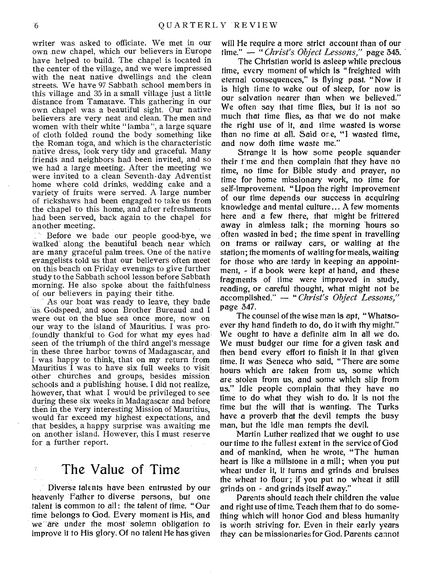writer was asked to officiate. We met in our own new chapel, which our believers in Europe have helped to build. The chapel is located in the center of the village, and we were impressed with the neat native dwellings and the clean streets. We have 97 Sabbath school members in this village and 35 in a small village just a little distance from Tamatave. This gathering in our own chapel was a beautiful sight. Our native believers are very neat and clean. The men and women with their white "lamba", a large square of cloth folded round the body something like the Roman toga, and which is the characteristic native dress, look very tidy and graceful. Many friends and neighbors had been invited, and so we had a large meeting. After the meeting we were invited to a clean Seventh-day Adventist home where cold drinks, wedding cake and a variety of fruits were served. A large number of rickshaws had been engaged to take us from the chapel to this home, and after refreshments had been served, back again to the chapel for another meeting.

Before we bade our people good-bye, we walked along the beautiful beach near which are many graceful palm trees. One of the native evangelists told us that our believers often meet on this beach on Friday evenings to give further study to the Sabbath school lesson before Sabbath morning. He also spoke about the faithfulness of our believers in paying their tithe.

As our boat was ready to leave, they bade us. Godspeed, and soon Brother Bureaud and I were out on the blue sea once more, now on our, way to the island of Mauritius. I was profoundly thankful to God for what my eyes had seen of the triumph of the third angel's message -in these three harbor towns of Madagascar, and I- was happy to think, that on my return from Mauritius I was to have six full weeks to visit other churches and groups, besides mission schools and a publishing house. I did not realize, however, that what I would be privileged to see during these six weeks in Madagascar and before then in the very interesting Mission of Mauritius, would far exceed my highest expectations, and that besides, a happy surprise was awaiting me on another island. However, this I must reserve for a further report.

### The Value of Time

Diverse talents have been entrusted by our heavenly Father to diverse persons, but one talent is common to all : the talent of time. "Our time belongs to God. Every moment is His, and we are under the most solemn obligation to improve it to His glory. Of no talent He has given

will He require a more strict account than of our time." — " *Christ's. Object Lessons,"* page 345.

The Christian world is asleep while precious time, every moment of which is "freighted with eternal consequences," is flying past. "Now it is high time to wake out of sleep, for now is our salvation nearer than when we believed." We often say that time flies, but it is not so much that time flies, as that we do not make the right use of it, and time wasted is worse than no time at all. Said ore, "I wasted time, and now doth time waste me."

Strange it is how some people squander their time and then complain that they have no time, no time for Bible study and prayer, no time for home missionary work, no time for self-improvement. "Upon the right improvement of our time depends our success in acquiring knowledge and mental culture... A few moments here and a few there, that might be frittered away in aimless talk; the morning 'hours so often wasted in bed; the time spent in travelling on trams or railway cars, or waiting at the station; the moments of waiting for meals, waiting for those who are tardy in keeping an appointment, - if a book were kept at hand, and these fragments of lime were improved in study, reading, or careful thought, what might not be accomplished." — " *Christ's Object Lessons,"*  page 347.

The counsel of the wise man is apt, " Whatsoever thy hand findeth to do, do it with thy might." We ought to have a definite aim in all we do. We must budget our time for a given task and then bend every effort to finish it in that given time. It was Seneca who said, "There are some hours which are taken from us, some which are stolen from us, and some which slip from us." Idle people complain that they have no time to do what they wish to do. It is not the time but the will that is wanting. The Turks have a proverb that the devil tempts the busy man, but the idle man tempts the devil.

Martin Luther realized that we ought to use our time to the fullest extent in the service of God and of mankind, when he wrote, "The human heart is like a millstone in a mill; when you put wheat under it, it turns and grinds and bruises the wheat to flour; if you put no wheat it still grinds on - and grinds itself away."

Parents should teach their children the value and right use of time. Teach them that to do something which will honor God and bless humanity is worth striving for. Even in their early years they can be missionaries for God. Parents cannot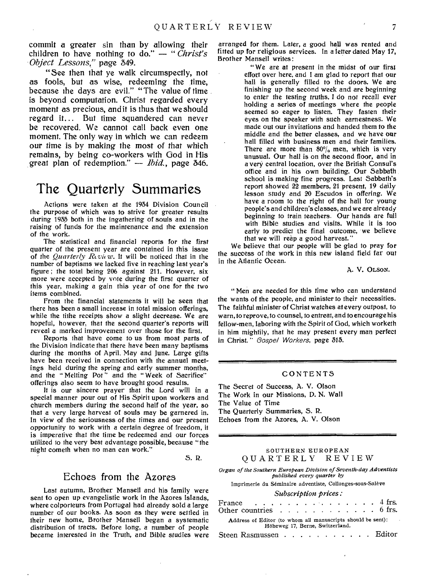commit a greater sin than by allowing their children to have nothing to do." — " *Christ's Object Lessons,"* page 349.

"See then that ye walk circumspectly, not as fools, but as wise, redeeming the time, because the days are evil." "The value of time is beyond computation. Christ regarded every moment as precious, andit is thus that we should regard it... But time squandered can never be recovered. We cannot call back even one moment. The only way in which we can redeem our time is by making the most of that which remains, by being co-workers with God in His great plan of redemption." — *Ibid.,* page 346.

## The Quarterly Summaries

Actions were taken at the 1934 Division Council the purpose of which was to strive for greater results during 1935 both in the ingathering of souls and in the raising of funds for the maintenance and the extension of the work.

The statistical and financial reports for the first quarter of the present year are contained in this issue of the *Quarterly Rtvu w. It* will be noticed that in the number of baptisms we lacked five in reaching last year's figure ; the total being 206 against 211. However, six more were accepted by vote during the first quarter of this year, making a gain this year of one for the two items combined.

From the financial statements it will be seen that there has been a small increase in total mission offerings, while the tithe receipts show a slight decrease. We are hopeful, however, that the second quarter's reports will reveal a marked improvement over those for the first.

Reports that have come to us from most parts of the Division indicate that there have been many baptisms during the months of April, May and June. Large gifts have been received in connection with the annual meetings held during the spring and early summer months, and the "Melting Pot" and the "Week of Sacrifice" offerings also seem to have brought good results.

It is our sincere prayer that the Lord will in a special manner pour out of His Spirit upon workers and church members during the second half of the year, so that a very large harvest of souls may be garnered in. In view of the seriousness of the times and our present opportunity to work with a certain degree of freedom, it is imperative that the time be redeemed and our forces utilized to the very best advantage possible, because "the night cometh when no man can work."

S. R.

#### Echoes from the Azores

Last autumn, Brother Mansell and his family were sent to open up evangelistic work in the Azores Islands, where colporteurs from Portugal had already sold a large number of our books. As soon as they were settled in their new home, Brother Mansell began a systematic distribution of tracts. Before long, a number of people became interested in the Truth, and *Bible* studies were

arranged for them. Later, a good hall was rented and fitted up for religious services. In a letter dated May 17, Brother Mansell writes:

> " We are at present in the midst of our first effort over here, and I am glad to report that our hall is generally filled to the doors. We are finishing up the second week and are beginning to enter the testing *truths.* I do not recall ever holding a series of meetings where the people seemed so eager to listen. They fasten their eyes on the speaker with such earnestness. We made out our invitations and handed them to the middle and the better classes, and we have our hall filled with business men and their families. There are more than  $80\%$  men, which is very unusual. Our hall is on the second floor, and in a very central location, over the British Consul's office and in his own building. Our Sabbath school is making fine progress. Last Sabbath's report showed 22 members, 21 present, 19 daily lesson study and 20 Escudos in offering. We have a room to the right of the hall for young people's and children's classes, and we are already beginning to train teachers. Our hands are full with Bible studies and visits. While it is too early to predict the final outcome, we believe that we will reap a good harvest."

We believe that our people will be glad to pray for the success of the work in this new island field far out in the Atlantic Ocean.

A. V. OLSON.

"Men are needed for this time who can understand the wants of the people, and minister to their necessities. The faithful minister of Christ watches at every outpost, to warn, to reprove, to counsel, to entreat, and to encourage his fellow-men, laboring with the Spirit of God, which worketh in him mightily, that he may present every man perfect in Christ. " *Gospel Workers,* page 315.

#### CONTENTS

The Secret of Success, A. V. Olson The Work in our Missions, D. N. Wall The Value of Time The Quarterly Summaries, S. R. Echoes from the Azores, A. V. Olson

#### SOUTHERN EUROPEAN QUARTERLY REVIEW

*Organ of the Southern European Division of Seventh-day Adventists published every quarter by* 

Imprimerie du Seminaire adventiste, Collonges-sous-Saleve

*Subscription prices:* 

| France $\ldots$ $\ldots$ $\ldots$ $\ldots$ $\ldots$ $\ldots$ 4 frs.<br>Other countries 6 frs.  |  |  |  |  |  |  |  |  |  |  |  |  |  |  |
|------------------------------------------------------------------------------------------------|--|--|--|--|--|--|--|--|--|--|--|--|--|--|
| Address of Editor (to whom all manuscripts should be sent):<br>Höheweg 17, Berne, Switzerland. |  |  |  |  |  |  |  |  |  |  |  |  |  |  |
| Steen Rasmussen Editor                                                                         |  |  |  |  |  |  |  |  |  |  |  |  |  |  |